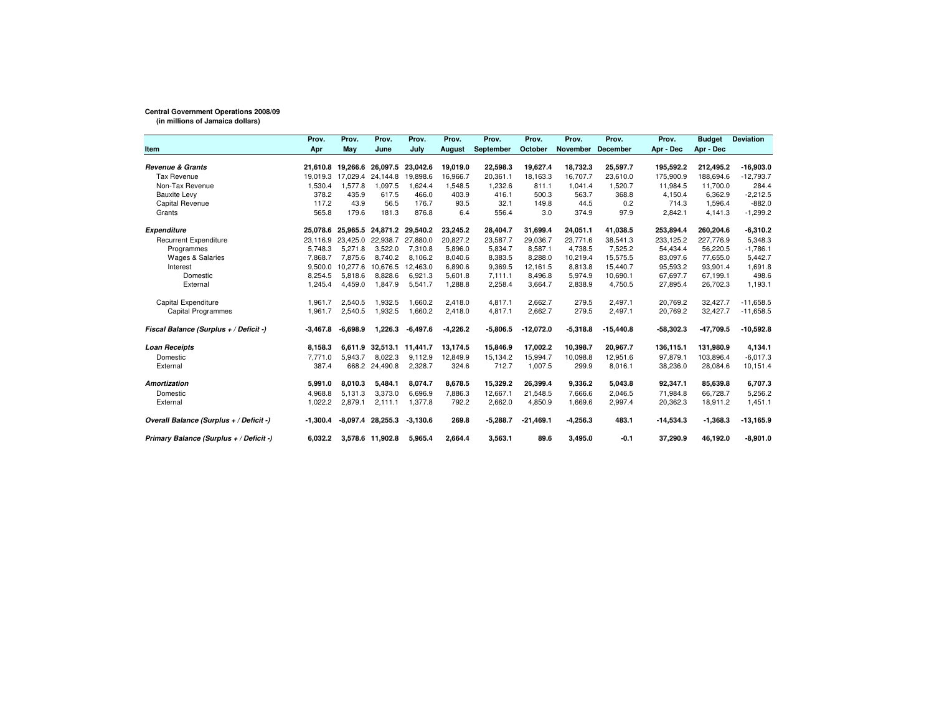## **Central Government Operations 2008/09**

**(in millions of Jamaica dollars)**

|                                         | Prov.      | Prov.             | Prov.            | Prov.      | Prov.         | Prov.      | Prov.       | Prov.      | Prov.           | Prov.       | <b>Budget</b> | <b>Deviation</b> |
|-----------------------------------------|------------|-------------------|------------------|------------|---------------|------------|-------------|------------|-----------------|-------------|---------------|------------------|
| <b>Item</b>                             | Apr        | May               | June             | July       | <b>August</b> | September  | October     | November   | <b>December</b> | Apr - Dec   | Apr - Dec     |                  |
| <b>Revenue &amp; Grants</b>             |            | 21,610.8 19,266.6 | 26,097.5         | 23,042.6   | 19,019.0      | 22,598.3   | 19,627.4    | 18,732.3   | 25,597.7        | 195,592.2   | 212,495.2     | $-16,903.0$      |
| <b>Tax Revenue</b>                      | 19.019.3   | 17,029.4          | 24.144.8         | 19.898.6   | 16,966.7      | 20.361.1   | 18,163.3    | 16.707.7   | 23.610.0        | 175,900.9   | 188.694.6     | $-12,793.7$      |
| Non-Tax Revenue                         | 1,530.4    | 1.577.8           | 1,097.5          | 1.624.4    | 1.548.5       | 1.232.6    | 811.1       | 1.041.4    | 1.520.7         | 11.984.5    | 11.700.0      | 284.4            |
|                                         | 378.2      | 435.9             | 617.5            | 466.0      | 403.9         | 416.1      | 500.3       | 563.7      | 368.8           | 4,150.4     | 6,362.9       | $-2,212.5$       |
| <b>Bauxite Levy</b><br>Capital Revenue  | 117.2      | 43.9              | 56.5             | 176.7      | 93.5          | 32.1       | 149.8       | 44.5       | 0.2             | 714.3       | 1,596.4       | $-882.0$         |
|                                         | 565.8      | 179.6             | 181.3            | 876.8      | 6.4           | 556.4      | 3.0         | 374.9      | 97.9            | 2,842.1     | 4,141.3       |                  |
| Grants                                  |            |                   |                  |            |               |            |             |            |                 |             |               | $-1,299.2$       |
| <b>Expenditure</b>                      | 25.078.6   | 25.965.5          | 24.871.2         | 29,540.2   | 23,245.2      | 28,404.7   | 31,699.4    | 24,051.1   | 41.038.5        | 253,894.4   | 260,204.6     | $-6,310.2$       |
| <b>Recurrent Expenditure</b>            | 23.116.9   | 23.425.0          | 22,938.7         | 27,880.0   | 20,827.2      | 23.587.7   | 29,036.7    | 23,771.6   | 38,541.3        | 233,125.2   | 227,776.9     | 5,348.3          |
| Programmes                              | 5.748.3    | 5,271.8           | 3.522.0          | 7.310.8    | 5.896.0       | 5.834.7    | 8.587.1     | 4.738.5    | 7.525.2         | 54.434.4    | 56.220.5      | $-1.786.1$       |
| <b>Wages &amp; Salaries</b>             | 7.868.7    | 7.875.6           | 8.740.2          | 8.106.2    | 8.040.6       | 8,383.5    | 8,288.0     | 10,219.4   | 15,575.5        | 83,097.6    | 77,655.0      | 5,442.7          |
| Interest                                | 9,500.0    | 10,277.6          | 10,676.5         | 12,463.0   | 6,890.6       | 9,369.5    | 12,161.5    | 8,813.8    | 15.440.7        | 95,593.2    | 93,901.4      | 1,691.8          |
| Domestic                                | 8,254.5    | 5,818.6           | 8,828.6          | 6,921.3    | 5,601.8       | 7,111.1    | 8,496.8     | 5,974.9    | 10,690.1        | 67,697.7    | 67,199.1      | 498.6            |
| External                                | 1,245.4    | 4,459.0           | 1,847.9          | 5,541.7    | 1,288.8       | 2,258.4    | 3,664.7     | 2,838.9    | 4,750.5         | 27,895.4    | 26,702.3      | 1,193.1          |
| Capital Expenditure                     | 1,961.7    | 2,540.5           | 1,932.5          | 1,660.2    | 2,418.0       | 4.817.1    | 2,662.7     | 279.5      | 2,497.1         | 20,769.2    | 32,427.7      | $-11,658.5$      |
| <b>Capital Programmes</b>               | 1.961.7    | 2,540.5           | 1,932.5          | 1,660.2    | 2,418.0       | 4.817.1    | 2,662.7     | 279.5      | 2.497.1         | 20.769.2    | 32,427.7      | $-11,658.5$      |
| Fiscal Balance (Surplus + / Deficit -)  | $-3,467.8$ | $-6.698.9$        | 1,226.3          | $-6,497.6$ | $-4,226.2$    | $-5,806.5$ | $-12,072.0$ | $-5,318.8$ | $-15,440.8$     | $-58,302.3$ | $-47,709.5$   | $-10,592.8$      |
| <b>Loan Receipts</b>                    | 8.158.3    | 6,611.9           | 32.513.1         | 11.441.7   | 13,174.5      | 15.846.9   | 17.002.2    | 10.398.7   | 20.967.7        | 136,115.1   | 131.980.9     | 4,134.1          |
| Domestic                                | 7.771.0    | 5.943.7           | 8,022.3          | 9.112.9    | 12,849.9      | 15.134.2   | 15,994.7    | 10,098.8   | 12,951.6        | 97.879.1    | 103,896.4     | $-6,017.3$       |
| External                                | 387.4      | 668.2             | 24,490.8         | 2,328.7    | 324.6         | 712.7      | 1,007.5     | 299.9      | 8,016.1         | 38,236.0    | 28,084.6      | 10,151.4         |
| <b>Amortization</b>                     | 5,991.0    | 8,010.3           | 5,484.1          | 8,074.7    | 8,678.5       | 15,329.2   | 26,399.4    | 9,336.2    | 5,043.8         | 92,347.1    | 85,639.8      | 6,707.3          |
| Domestic                                | 4.968.8    | 5.131.3           | 3,373.0          | 6.696.9    | 7.886.3       | 12.667.1   | 21.548.5    | 7.666.6    | 2.046.5         | 71.984.8    | 66.728.7      | 5,256.2          |
| External                                | 1,022.2    | 2,879.1           | 2,111.1          | 1,377.8    | 792.2         | 2,662.0    | 4,850.9     | 1,669.6    | 2,997.4         | 20,362.3    | 18,911.2      | 1,451.1          |
| Overall Balance (Surplus + / Deficit -) | -1,300.4   | -8,097.4          | 28,255.3         | $-3,130.6$ | 269.8         | $-5,288.7$ | $-21,469.1$ | $-4,256.3$ | 483.1           | $-14,534.3$ | $-1,368.3$    | $-13,165.9$      |
| Primary Balance (Surplus + / Deficit -) | 6,032.2    |                   | 3,578.6 11,902.8 | 5,965.4    | 2,664.4       | 3,563.1    | 89.6        | 3,495.0    | $-0.1$          | 37,290.9    | 46,192.0      | $-8,901.0$       |